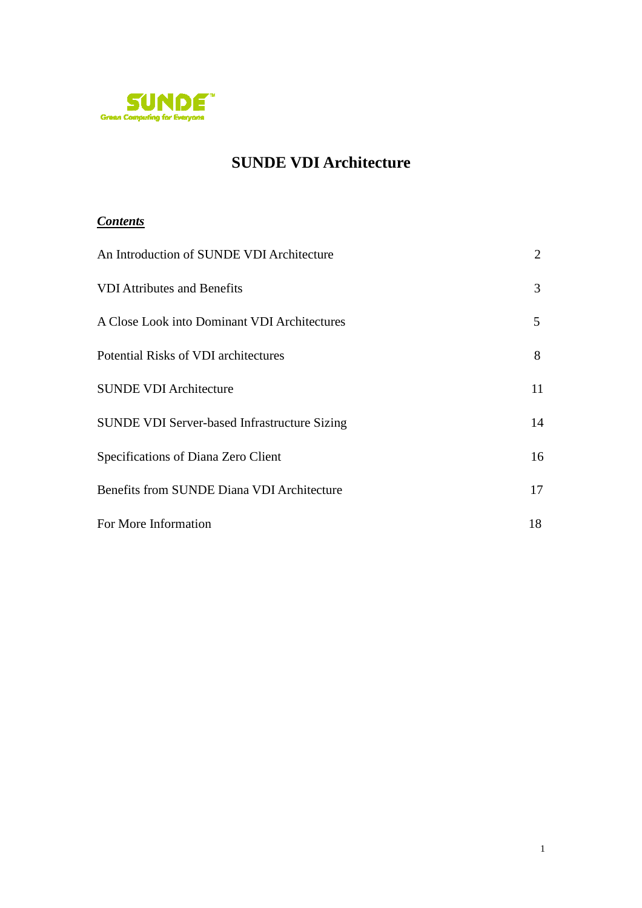

# **SUNDE VDI Architecture**

## *Contents*

| An Introduction of SUNDE VDI Architecture           | 2  |
|-----------------------------------------------------|----|
| <b>VDI</b> Attributes and Benefits                  | 3  |
| A Close Look into Dominant VDI Architectures        | 5  |
| Potential Risks of VDI architectures                | 8  |
| <b>SUNDE VDI Architecture</b>                       | 11 |
| <b>SUNDE VDI Server-based Infrastructure Sizing</b> | 14 |
| Specifications of Diana Zero Client                 | 16 |
| Benefits from SUNDE Diana VDI Architecture          | 17 |
| For More Information                                | 18 |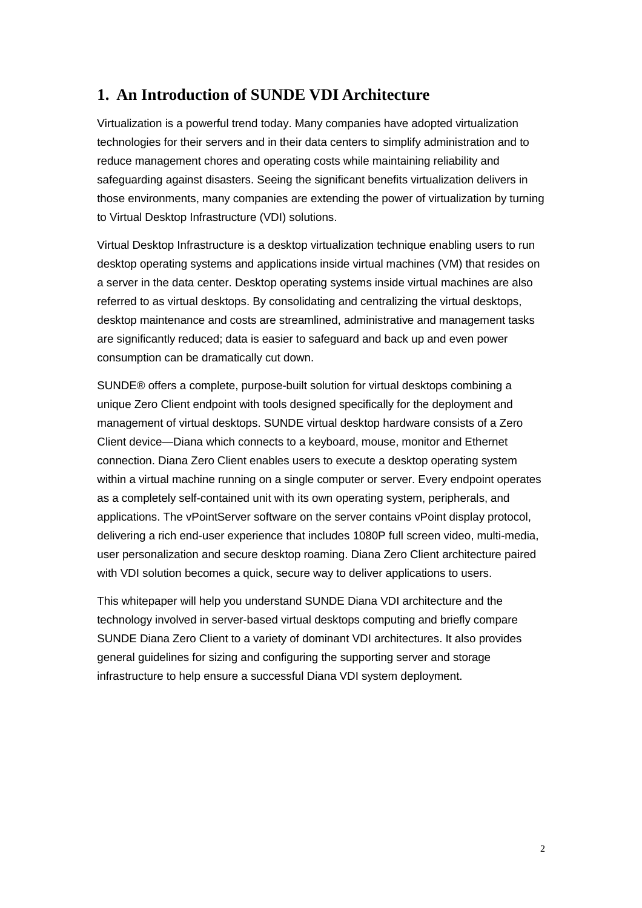## **1. An Introduction of SUNDE VDI Architecture**

Virtualization is a powerful trend today. Many companies have adopted virtualization technologies for their servers and in their data centers to simplify administration and to reduce management chores and operating costs while maintaining reliability and safeguarding against disasters. Seeing the significant benefits virtualization delivers in those environments, many companies are extending the power of virtualization by turning to Virtual Desktop Infrastructure (VDI) solutions.

Virtual Desktop Infrastructure is a desktop virtualization technique enabling users to run desktop operating systems and applications inside virtual machines (VM) that resides on a server in the data center. Desktop operating systems inside virtual machines are also referred to as virtual desktops. By consolidating and centralizing the virtual desktops, desktop maintenance and costs are streamlined, administrative and management tasks are significantly reduced; data is easier to safeguard and back up and even power consumption can be dramatically cut down.

SUNDE® offers a complete, purpose-built solution for virtual desktops combining a unique Zero Client endpoint with tools designed specifically for the deployment and management of virtual desktops. SUNDE virtual desktop hardware consists of a Zero Client device—Diana which connects to a keyboard, mouse, monitor and Ethernet connection. Diana Zero Client enables users to execute a desktop operating system within a virtual machine running on a single computer or server. Every endpoint operates as a completely self-contained unit with its own operating system, peripherals, and applications. The vPointServer software on the server contains vPoint display protocol, delivering a rich end-user experience that includes 1080P full screen video, multi-media, user personalization and secure desktop roaming. Diana Zero Client architecture paired with VDI solution becomes a quick, secure way to deliver applications to users.

This whitepaper will help you understand SUNDE Diana VDI architecture and the technology involved in server-based virtual desktops computing and briefly compare SUNDE Diana Zero Client to a variety of dominant VDI architectures. It also provides general guidelines for sizing and configuring the supporting server and storage infrastructure to help ensure a successful Diana VDI system deployment.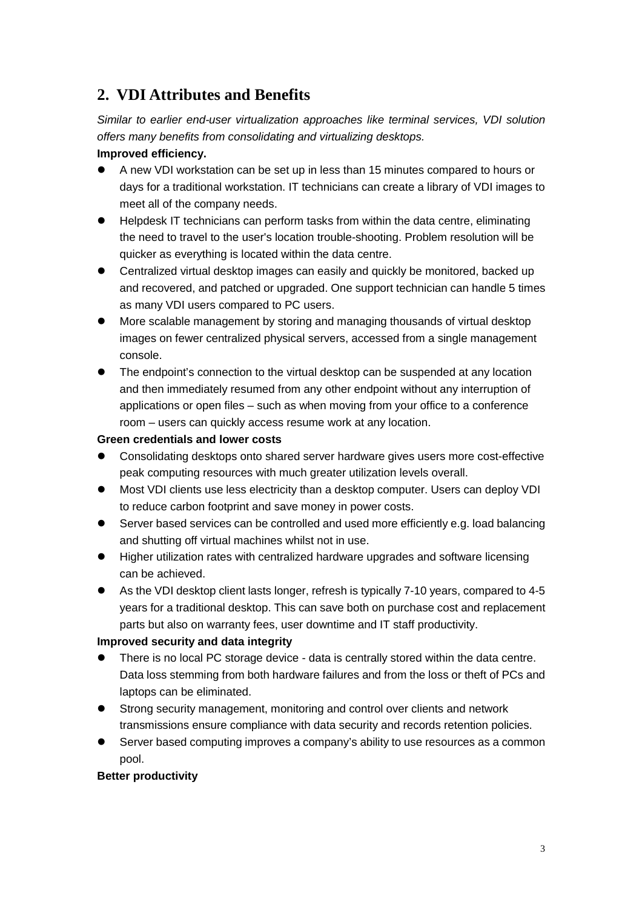# **2. VDI Attributes and Benefits**

Similar to earlier end-user virtualization approaches like terminal services, VDI solution offers many benefits from consolidating and virtualizing desktops.

## **Improved efficiency.**

- A new VDI workstation can be set up in less than 15 minutes compared to hours or days for a traditional workstation. IT technicians can create a library of VDI images to meet all of the company needs.
- Helpdesk IT technicians can perform tasks from within the data centre, eliminating the need to travel to the user's location trouble-shooting. Problem resolution will be quicker as everything is located within the data centre.
- Centralized virtual desktop images can easily and quickly be monitored, backed up and recovered, and patched or upgraded. One support technician can handle 5 times as many VDI users compared to PC users.
- More scalable management by storing and managing thousands of virtual desktop images on fewer centralized physical servers, accessed from a single management console.
- The endpoint's connection to the virtual desktop can be suspended at any location and then immediately resumed from any other endpoint without any interruption of applications or open files – such as when moving from your office to a conference room – users can quickly access resume work at any location.

## **Green credentials and lower costs**

- Consolidating desktops onto shared server hardware gives users more cost-effective peak computing resources with much greater utilization levels overall.
- Most VDI clients use less electricity than a desktop computer. Users can deploy VDI to reduce carbon footprint and save money in power costs.
- Server based services can be controlled and used more efficiently e.g. load balancing and shutting off virtual machines whilst not in use.
- Higher utilization rates with centralized hardware upgrades and software licensing can be achieved.
- As the VDI desktop client lasts longer, refresh is typically 7-10 years, compared to 4-5 years for a traditional desktop. This can save both on purchase cost and replacement parts but also on warranty fees, user downtime and IT staff productivity.

## **Improved security and data integrity**

- There is no local PC storage device data is centrally stored within the data centre. Data loss stemming from both hardware failures and from the loss or theft of PCs and laptops can be eliminated.
- Strong security management, monitoring and control over clients and network transmissions ensure compliance with data security and records retention policies.
- Server based computing improves a company's ability to use resources as a common pool.

### **Better productivity**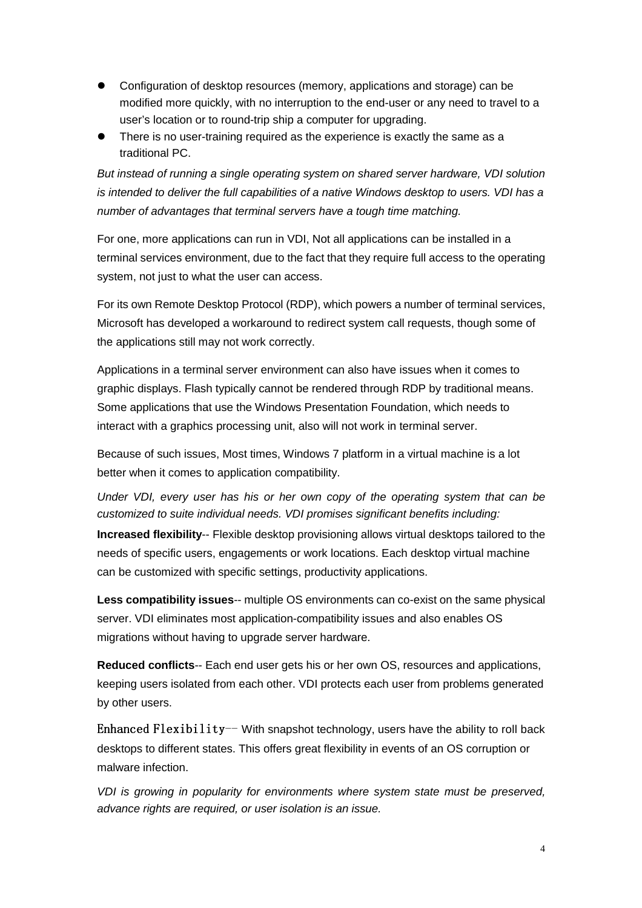- Configuration of desktop resources (memory, applications and storage) can be modified more quickly, with no interruption to the end-user or any need to travel to a user's location or to round-trip ship a computer for upgrading.
- There is no user-training required as the experience is exactly the same as a traditional PC.

But instead of running a single operating system on shared server hardware, VDI solution is intended to deliver the full capabilities of a native Windows desktop to users. VDI has a number of advantages that terminal servers have a tough time matching.

For one, more applications can run in VDI, Not all applications can be installed in a terminal services environment, due to the fact that they require full access to the operating system, not just to what the user can access.

For its own Remote Desktop Protocol (RDP), which powers a number of terminal services, Microsoft has developed a workaround to redirect system call requests, though some of the applications still may not work correctly.

Applications in a terminal server environment can also have issues when it comes to graphic displays. Flash typically cannot be rendered through RDP by traditional means. Some applications that use the Windows Presentation Foundation, which needs to interact with a graphics processing unit, also will not work in terminal server.

Because of such issues, Most times, Windows 7 platform in a virtual machine is a lot better when it comes to application compatibility.

Under VDI, every user has his or her own copy of the operating system that can be customized to suite individual needs. VDI promises significant benefits including:

**Increased flexibility**-- Flexible desktop provisioning allows virtual desktops tailored to the needs of specific users, engagements or work locations. Each desktop virtual machine can be customized with specific settings, productivity applications.

**Less compatibility issues**-- multiple OS environments can co-exist on the same physical server. VDI eliminates most application-compatibility issues and also enables OS migrations without having to upgrade server hardware.

**Reduced conflicts**-- Each end user gets his or her own OS, resources and applications, keeping users isolated from each other. VDI protects each user from problems generated by other users.

Enhanced Flexibility -- With snapshot technology, users have the ability to roll back desktops to different states. This offers great flexibility in events of an OS corruption or malware infection.

VDI is growing in popularity for environments where system state must be preserved, advance rights are required, or user isolation is an issue.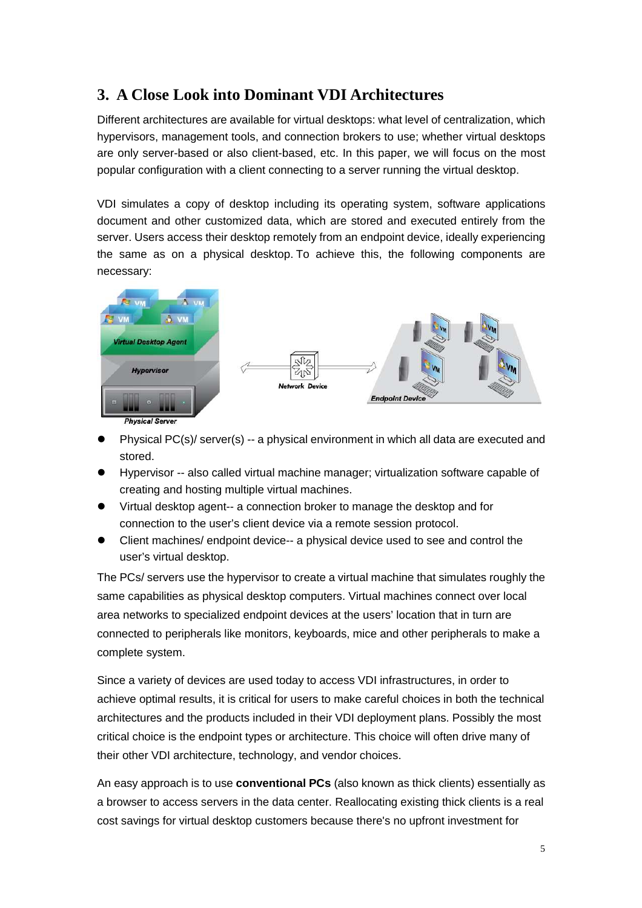# **3. A Close Look into Dominant VDI Architectures**

Different architectures are available for virtual desktops: what level of centralization, which hypervisors, management tools, and connection brokers to use; whether virtual desktops are only server-based or also client-based, etc. In this paper, we will focus on the most popular configuration with a client connecting to a server running the virtual desktop.

VDI simulates a copy of desktop including its operating system, software applications document and other customized data, which are stored and executed entirely from the server. Users access their desktop remotely from an endpoint device, ideally experiencing the same as on a physical desktop. To achieve this, the following components are necessary:



- Physical PC(s)/ server(s) -- a physical environment in which all data are executed and stored.
- Hypervisor -- also called virtual machine manager; virtualization software capable of creating and hosting multiple virtual machines.
- Virtual desktop agent-- a connection broker to manage the desktop and for connection to the user's client device via a remote session protocol.
- Client machines/ endpoint device-- a physical device used to see and control the user's virtual desktop.

The PCs/ servers use the hypervisor to create a virtual machine that simulates roughly the same capabilities as physical desktop computers. Virtual machines connect over local area networks to specialized endpoint devices at the users' location that in turn are connected to peripherals like monitors, keyboards, mice and other peripherals to make a complete system.

Since a variety of devices are used today to access VDI infrastructures, in order to achieve optimal results, it is critical for users to make careful choices in both the technical architectures and the products included in their VDI deployment plans. Possibly the most critical choice is the endpoint types or architecture. This choice will often drive many of their other VDI architecture, technology, and vendor choices.

An easy approach is to use **conventional PCs** (also known as thick clients) essentially as a browser to access servers in the data center. Reallocating existing thick clients is a real cost savings for virtual desktop customers because there's no upfront investment for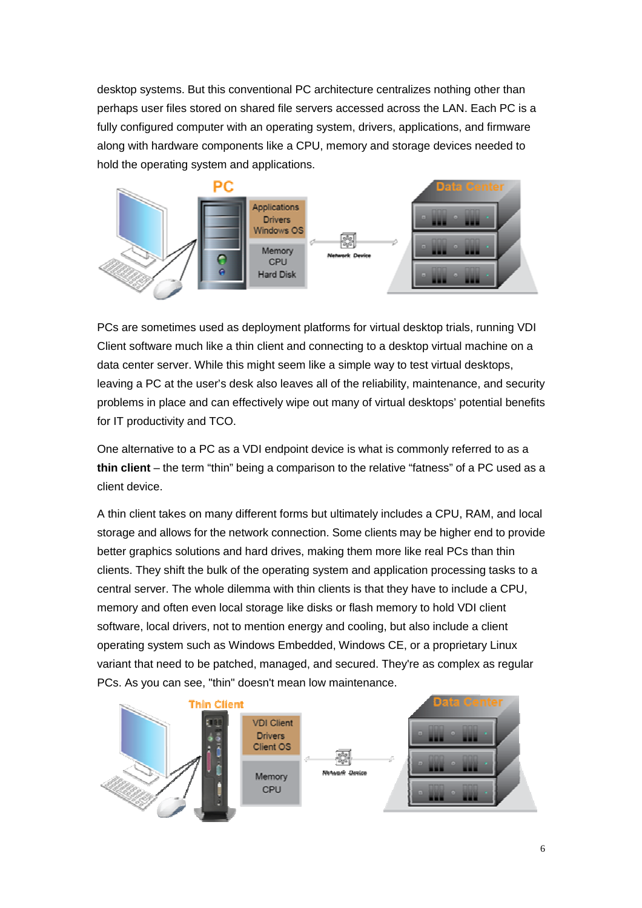desktop systems. But this conventional PC architecture centralizes nothing other than perhaps user files stored on shared file servers accessed across the LAN. Each PC is a fully configured computer with an operating system, drivers, applications, and firmware along with hardware components like a CPU, memory and storage devices needed to hold the operating system and applications.



PCs are sometimes used as deployment platforms for virtual desktop trials, running VDI Client software much like a thin client and connecting to a desktop virtual machine on a data center server. While this might seem like a simple way to test virtual desktops, leaving a PC at the user's desk also leaves all of the reliability, maintenance, and security problems in place and can effectively wipe out many of virtual desktops' potential benefits for IT productivity and TCO.

One alternative to a PC as a VDI endpoint device is what is commonly referred to as a **thin client** – the term "thin" being a comparison to the relative "fatness" of a PC used as a client device.

A thin client takes on many different forms but ultimately includes a CPU, RAM, and local storage and allows for the network connection. Some clients may be higher end to provide better graphics solutions and hard drives, making them more like real PCs than thin clients. They shift the bulk of the operating system and application processing tasks to a central server. The whole dilemma with thin clients is that they have to include a CPU, memory and often even local storage like disks or flash memory to hold VDI client software, local drivers, not to mention energy and cooling, but also include a client operating system such as Windows Embedded, Windows CE, or a proprietary Linux variant that need to be patched, managed, and secured. They're as complex as regular PCs. As you can see, "thin" doesn't mean low maintenance.

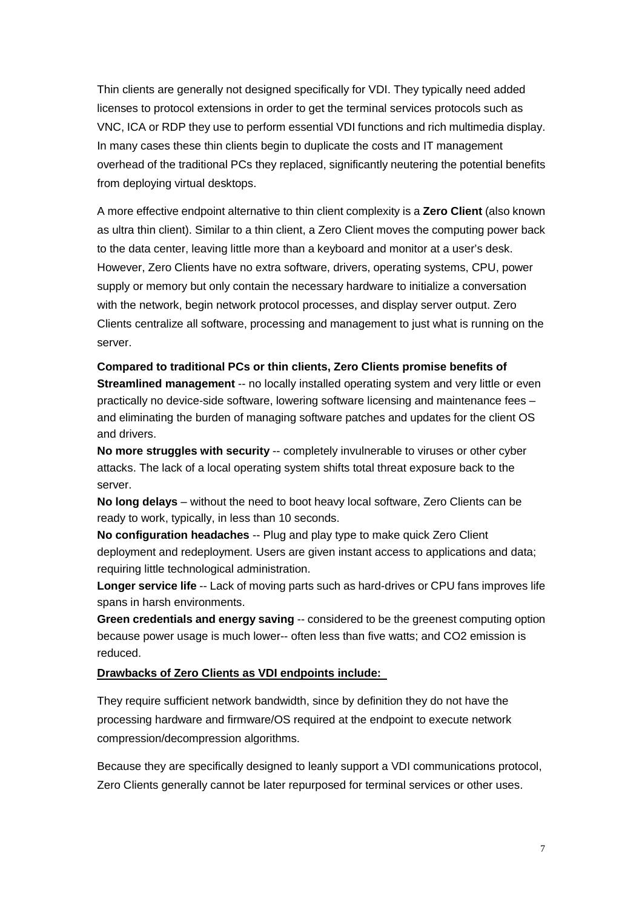Thin clients are generally not designed specifically for VDI. They typically need added licenses to protocol extensions in order to get the terminal services protocols such as VNC, ICA or RDP they use to perform essential VDI functions and rich multimedia display. In many cases these thin clients begin to duplicate the costs and IT management overhead of the traditional PCs they replaced, significantly neutering the potential benefits from deploying virtual desktops.

A more effective endpoint alternative to thin client complexity is a **Zero Client** (also known as ultra thin client). Similar to a thin client, a Zero Client moves the computing power back to the data center, leaving little more than a keyboard and monitor at a user's desk. However, Zero Clients have no extra software, drivers, operating systems, CPU, power supply or memory but only contain the necessary hardware to initialize a conversation with the network, begin network protocol processes, and display server output. Zero Clients centralize all software, processing and management to just what is running on the server.

**Compared to traditional PCs or thin clients, Zero Clients promise benefits of Streamlined management** -- no locally installed operating system and very little or even practically no device-side software, lowering software licensing and maintenance fees – and eliminating the burden of managing software patches and updates for the client OS and drivers.

**No more struggles with security -- completely invulnerable to viruses or other cyber** attacks. The lack of a local operating system shifts total threat exposure back to the server.

**No long delays** – without the need to boot heavy local software, Zero Clients can be ready to work, typically, in less than 10 seconds.

**No configuration headaches** -- Plug and play type to make quick Zero Client deployment and redeployment. Users are given instant access to applications and data; requiring little technological administration.

**Longer service life** -- Lack of moving parts such as hard-drives or CPU fans improves life spans in harsh environments.

**Green credentials and energy saving** -- considered to be the greenest computing option because power usage is much lower-- often less than five watts; and CO2 emission is reduced.

#### **Drawbacks of Zero Clients as VDI endpoints include:**

They require sufficient network bandwidth, since by definition they do not have the processing hardware and firmware/OS required at the endpoint to execute network compression/decompression algorithms.

Because they are specifically designed to leanly support a VDI communications protocol, Zero Clients generally cannot be later repurposed for terminal services or other uses.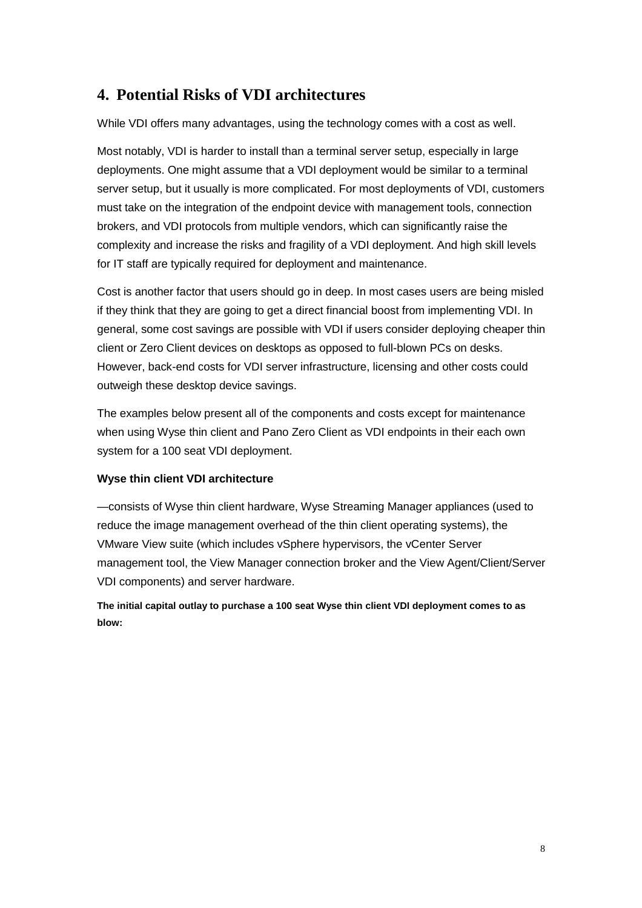# **4. Potential Risks of VDI architectures**

While VDI offers many advantages, using the technology comes with a cost as well.

Most notably, VDI is harder to install than a terminal server setup, especially in large deployments. One might assume that a VDI deployment would be similar to a terminal server setup, but it usually is more complicated. For most deployments of VDI, customers must take on the integration of the endpoint device with management tools, connection brokers, and VDI protocols from multiple vendors, which can significantly raise the complexity and increase the risks and fragility of a VDI deployment. And high skill levels for IT staff are typically required for deployment and maintenance.

Cost is another factor that users should go in deep. In most cases users are being misled if they think that they are going to get a direct financial boost from implementing VDI. In general, some cost savings are possible with VDI if users consider deploying cheaper thin client or Zero Client devices on desktops as opposed to full-blown PCs on desks. However, back-end costs for VDI server infrastructure, licensing and other costs could outweigh these desktop device savings.

The examples below present all of the components and costs except for maintenance when using Wyse thin client and Pano Zero Client as VDI endpoints in their each own system for a 100 seat VDI deployment.

### **Wyse thin client VDI architecture**

—consists of Wyse thin client hardware, Wyse Streaming Manager appliances (used to reduce the image management overhead of the thin client operating systems), the VMware View suite (which includes vSphere hypervisors, the vCenter Server management tool, the View Manager connection broker and the View Agent/Client/Server VDI components) and server hardware.

**The initial capital outlay to purchase a 100 seat Wyse thin client VDI deployment comes to as blow:**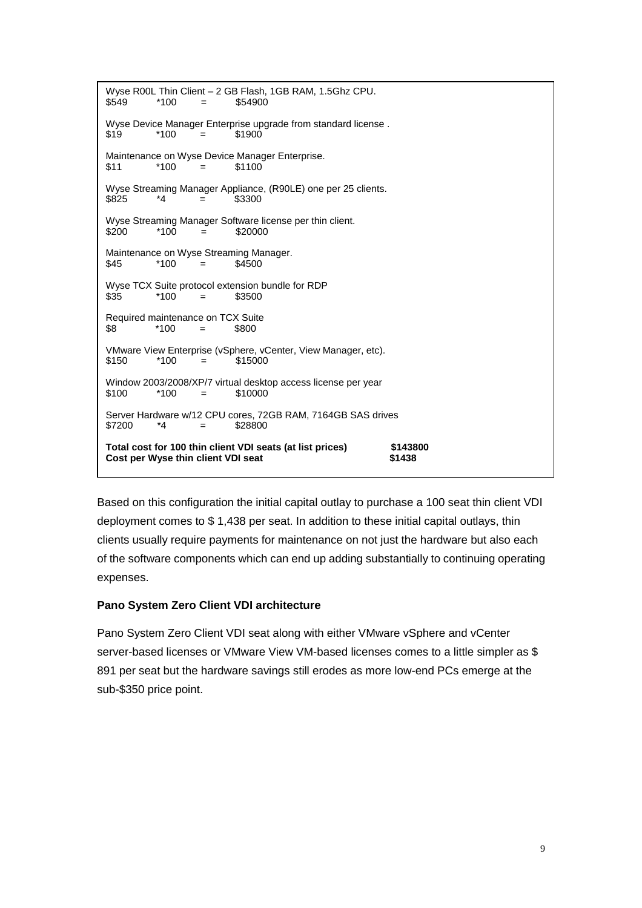```
Wyse R00L Thin Client – 2 GB Flash, 1GB RAM, 1.5Ghz CPU. 
$549 *100 = $54900
Wyse Device Manager Enterprise upgrade from standard license . 
$19 *100 = $1900
Maintenance on Wyse Device Manager Enterprise. 
$11 *100 = $1100 
Wyse Streaming Manager Appliance, (R90LE) one per 25 clients. 
$825 *4 = $3300 
Wyse Streaming Manager Software license per thin client. 
$200 *100 = $20000 
Maintenance on Wyse Streaming Manager. 
$45 *100 = $4500
Wyse TCX Suite protocol extension bundle for RDP 
$35 *100 = $3500
Required maintenance on TCX Suite 
$8 *100 = $800 
VMware View Enterprise (vSphere, vCenter, View Manager, etc). 
$150 *100 = $15000 
Window 2003/2008/XP/7 virtual desktop access license per year 
$100 *100 = $10000 
Server Hardware w/12 CPU cores, 72GB RAM, 7164GB SAS drives 
$7200 *4 = $28800 
Total cost for 100 thin client VDI seats (at list prices) $143800<br>Cost per Wyse thin client VDI seat 31438
Cost per Wyse thin client VDI seat
```
Based on this configuration the initial capital outlay to purchase a 100 seat thin client VDI deployment comes to \$ 1,438 per seat. In addition to these initial capital outlays, thin clients usually require payments for maintenance on not just the hardware but also each of the software components which can end up adding substantially to continuing operating expenses.

### **Pano System Zero Client VDI architecture**

Pano System Zero Client VDI seat along with either VMware vSphere and vCenter server-based licenses or VMware View VM-based licenses comes to a little simpler as \$ 891 per seat but the hardware savings still erodes as more low-end PCs emerge at the sub-\$350 price point.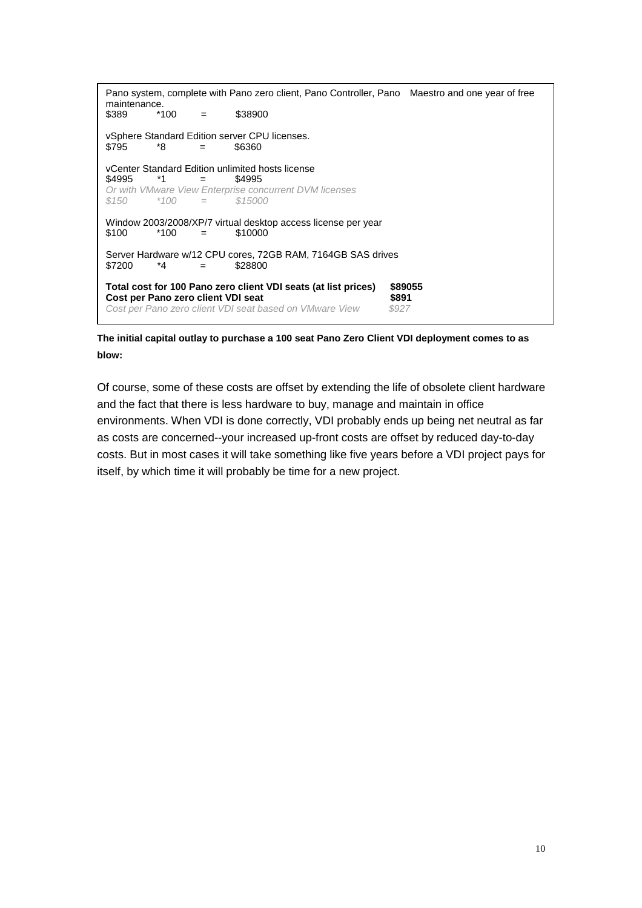```
Pano system, complete with Pano zero client, Pano Controller, Pano Maestro and one year of free 
maintenance. 
$389 *100 = $38900
vSphere Standard Edition server CPU licenses. 
$795 *8 = $6360 
vCenter Standard Edition unlimited hosts license<br>$4995 *1 = $4995$4995  *1 =
Or with VMware View Enterprise concurrent DVM licenses<br>$150   *100 = $15000= $15000
Window 2003/2008/XP/7 virtual desktop access license per year 
$100 *100 = $10000 
Server Hardware w/12 CPU cores, 72GB RAM, 7164GB SAS drives 
$7200 *4 = $28800 
Total cost for 100 Pano zero client VDI seats (at list prices) $89055 
Cost per Pano zero client VDI seat diverse diverse the S891 $891 Cost per Pano zero client VDI seat based on VMware View $927
Cost per Pano zero client VDI seat based on VMware View
 \overline{a}
```
**The initial capital outlay to purchase a 100 seat Pano Zero Client VDI deployment comes to as blow:** 

Of course, some of these costs are offset by extending the life of obsolete client hardware and the fact that there is less hardware to buy, manage and maintain in office environments. When VDI is done correctly, VDI probably ends up being net neutral as far as costs are concerned--your increased up-front costs are offset by reduced day-to-day costs. But in most cases it will take something like five years before a VDI project pays for itself, by which time it will probably be time for a new project.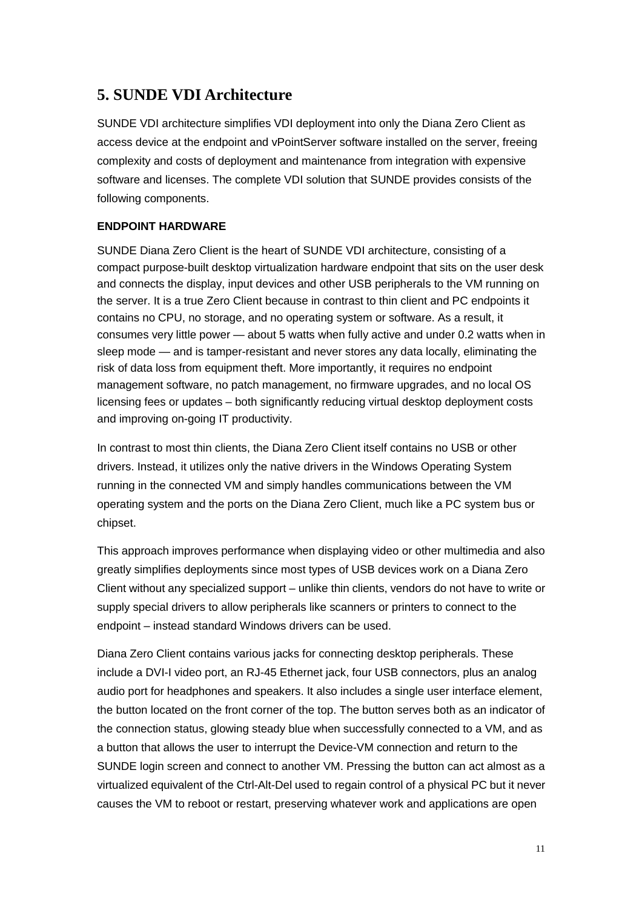# **5. SUNDE VDI Architecture**

SUNDE VDI architecture simplifies VDI deployment into only the Diana Zero Client as access device at the endpoint and vPointServer software installed on the server, freeing complexity and costs of deployment and maintenance from integration with expensive software and licenses. The complete VDI solution that SUNDE provides consists of the following components.

## **ENDPOINT HARDWARE**

SUNDE Diana Zero Client is the heart of SUNDE VDI architecture, consisting of a compact purpose-built desktop virtualization hardware endpoint that sits on the user desk and connects the display, input devices and other USB peripherals to the VM running on the server. It is a true Zero Client because in contrast to thin client and PC endpoints it contains no CPU, no storage, and no operating system or software. As a result, it consumes very little power — about 5 watts when fully active and under 0.2 watts when in sleep mode — and is tamper-resistant and never stores any data locally, eliminating the risk of data loss from equipment theft. More importantly, it requires no endpoint management software, no patch management, no firmware upgrades, and no local OS licensing fees or updates – both significantly reducing virtual desktop deployment costs and improving on-going IT productivity.

In contrast to most thin clients, the Diana Zero Client itself contains no USB or other drivers. Instead, it utilizes only the native drivers in the Windows Operating System running in the connected VM and simply handles communications between the VM operating system and the ports on the Diana Zero Client, much like a PC system bus or chipset.

This approach improves performance when displaying video or other multimedia and also greatly simplifies deployments since most types of USB devices work on a Diana Zero Client without any specialized support – unlike thin clients, vendors do not have to write or supply special drivers to allow peripherals like scanners or printers to connect to the endpoint – instead standard Windows drivers can be used.

Diana Zero Client contains various jacks for connecting desktop peripherals. These include a DVI-I video port, an RJ-45 Ethernet jack, four USB connectors, plus an analog audio port for headphones and speakers. It also includes a single user interface element, the button located on the front corner of the top. The button serves both as an indicator of the connection status, glowing steady blue when successfully connected to a VM, and as a button that allows the user to interrupt the Device-VM connection and return to the SUNDE login screen and connect to another VM. Pressing the button can act almost as a virtualized equivalent of the Ctrl-Alt-Del used to regain control of a physical PC but it never causes the VM to reboot or restart, preserving whatever work and applications are open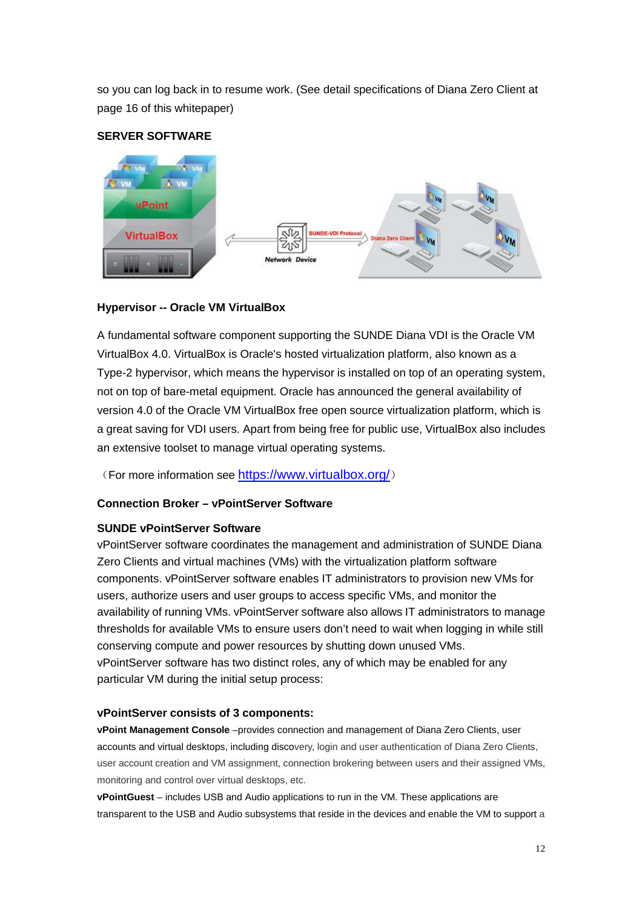so you can log back in to resume work. (See detail specifications of Diana Zero Client at page 16 of this whitepaper)

## **SERVER SOFTWARE**



## **Hypervisor -- Oracle VM VirtualBox**

A fundamental software component supporting the SUNDE Diana VDI is the Oracle VM VirtualBox 4.0. VirtualBox is Oracle's hosted virtualization platform, also known as a Type-2 hypervisor, which means the hypervisor is installed on top of an operating system, not on top of bare-metal equipment. Oracle has announced the general availability of version 4.0 of the Oracle VM VirtualBox free open source virtualization platform, which is a great saving for VDI users. Apart from being free for public use, VirtualBox also includes an extensive toolset to manage virtual operating systems.

(For more information see https://www.virtualbox.org/)

## **Connection Broker – vPointServer Software**

### **SUNDE vPointServer Software**

vPointServer software coordinates the management and administration of SUNDE Diana Zero Clients and virtual machines (VMs) with the virtualization platform software components. vPointServer software enables IT administrators to provision new VMs for users, authorize users and user groups to access specific VMs, and monitor the availability of running VMs. vPointServer software also allows IT administrators to manage thresholds for available VMs to ensure users don't need to wait when logging in while still conserving compute and power resources by shutting down unused VMs. vPointServer software has two distinct roles, any of which may be enabled for any particular VM during the initial setup process:

### **vPointServer consists of 3 components:**

**vPoint Management Console** –provides connection and management of Diana Zero Clients, user accounts and virtual desktops, including discovery, login and user authentication of Diana Zero Clients, user account creation and VM assignment, connection brokering between users and their assigned VMs, monitoring and control over virtual desktops, etc.

**vPointGuest** – includes USB and Audio applications to run in the VM. These applications are transparent to the USB and Audio subsystems that reside in the devices and enable the VM to support a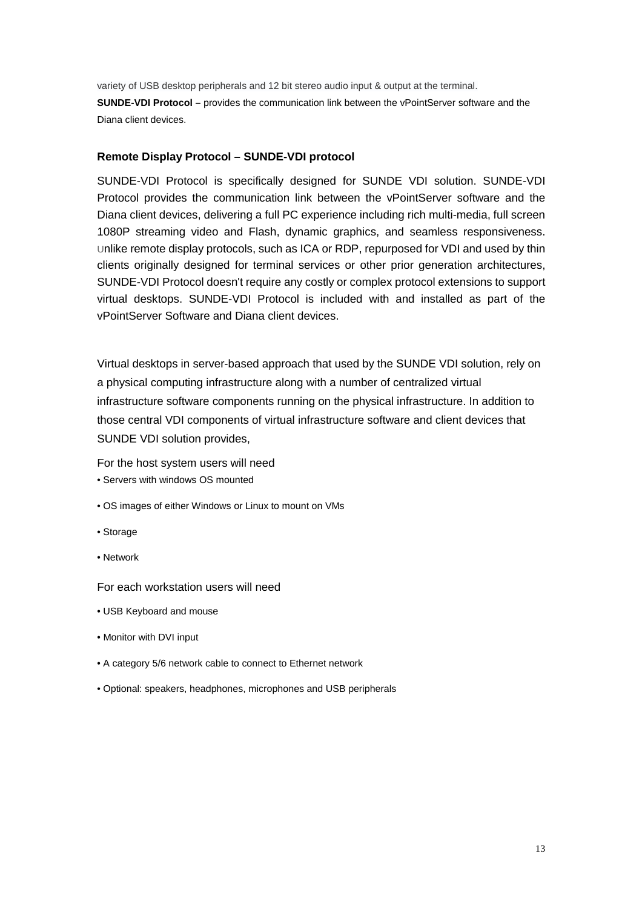variety of USB desktop peripherals and 12 bit stereo audio input & output at the terminal.

**SUNDE-VDI Protocol –** provides the communication link between the vPointServer software and the Diana client devices.

#### **Remote Display Protocol – SUNDE-VDI protocol**

SUNDE-VDI Protocol is specifically designed for SUNDE VDI solution. SUNDE-VDI Protocol provides the communication link between the vPointServer software and the Diana client devices, delivering a full PC experience including rich multi-media, full screen 1080P streaming video and Flash, dynamic graphics, and seamless responsiveness. Unlike remote display protocols, such as ICA or RDP, repurposed for VDI and used by thin clients originally designed for terminal services or other prior generation architectures, SUNDE-VDI Protocol doesn't require any costly or complex protocol extensions to support virtual desktops. SUNDE-VDI Protocol is included with and installed as part of the vPointServer Software and Diana client devices.

Virtual desktops in server-based approach that used by the SUNDE VDI solution, rely on a physical computing infrastructure along with a number of centralized virtual infrastructure software components running on the physical infrastructure. In addition to those central VDI components of virtual infrastructure software and client devices that SUNDE VDI solution provides,

For the host system users will need

- Servers with windows OS mounted
- OS images of either Windows or Linux to mount on VMs
- Storage
- Network

For each workstation users will need

- USB Keyboard and mouse
- Monitor with DVI input
- A category 5/6 network cable to connect to Ethernet network
- Optional: speakers, headphones, microphones and USB peripherals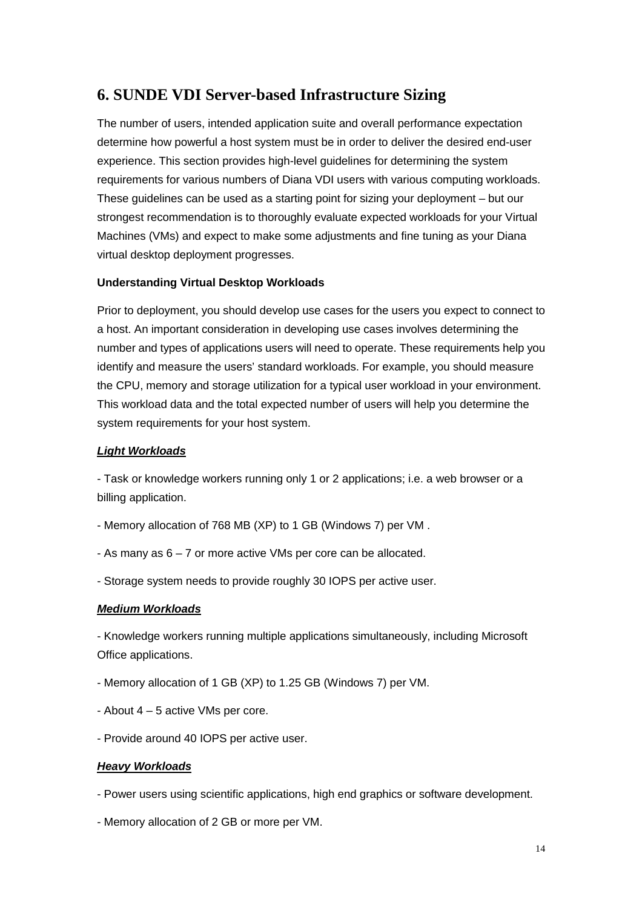# **6. SUNDE VDI Server-based Infrastructure Sizing**

The number of users, intended application suite and overall performance expectation determine how powerful a host system must be in order to deliver the desired end-user experience. This section provides high-level guidelines for determining the system requirements for various numbers of Diana VDI users with various computing workloads. These guidelines can be used as a starting point for sizing your deployment – but our strongest recommendation is to thoroughly evaluate expected workloads for your Virtual Machines (VMs) and expect to make some adjustments and fine tuning as your Diana virtual desktop deployment progresses.

### **Understanding Virtual Desktop Workloads**

Prior to deployment, you should develop use cases for the users you expect to connect to a host. An important consideration in developing use cases involves determining the number and types of applications users will need to operate. These requirements help you identify and measure the users' standard workloads. For example, you should measure the CPU, memory and storage utilization for a typical user workload in your environment. This workload data and the total expected number of users will help you determine the system requirements for your host system.

#### **Light Workloads**

- Task or knowledge workers running only 1 or 2 applications; i.e. a web browser or a billing application.

- Memory allocation of 768 MB (XP) to 1 GB (Windows 7) per VM .
- As many as 6 7 or more active VMs per core can be allocated.
- Storage system needs to provide roughly 30 IOPS per active user.

#### **Medium Workloads**

- Knowledge workers running multiple applications simultaneously, including Microsoft Office applications.

- Memory allocation of 1 GB (XP) to 1.25 GB (Windows 7) per VM.
- About 4 5 active VMs per core.
- Provide around 40 IOPS per active user.

#### **Heavy Workloads**

- Power users using scientific applications, high end graphics or software development.
- Memory allocation of 2 GB or more per VM.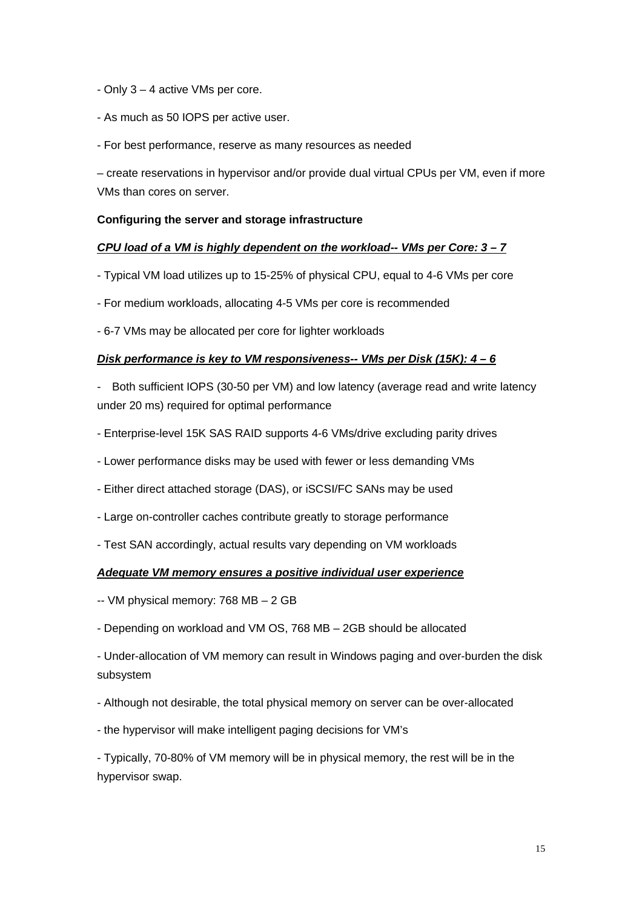- Only 3 4 active VMs per core.
- As much as 50 IOPS per active user.
- For best performance, reserve as many resources as needed

– create reservations in hypervisor and/or provide dual virtual CPUs per VM, even if more VMs than cores on server.

### **Configuring the server and storage infrastructure**

#### **CPU load of a VM is highly dependent on the workload-- VMs per Core: 3 – 7**

- Typical VM load utilizes up to 15-25% of physical CPU, equal to 4-6 VMs per core
- For medium workloads, allocating 4-5 VMs per core is recommended
- 6-7 VMs may be allocated per core for lighter workloads

### **Disk performance is key to VM responsiveness-- VMs per Disk (15K): 4 – 6**

- Both sufficient IOPS (30-50 per VM) and low latency (average read and write latency under 20 ms) required for optimal performance
- Enterprise-level 15K SAS RAID supports 4-6 VMs/drive excluding parity drives
- Lower performance disks may be used with fewer or less demanding VMs
- Either direct attached storage (DAS), or iSCSI/FC SANs may be used
- Large on-controller caches contribute greatly to storage performance
- Test SAN accordingly, actual results vary depending on VM workloads

#### **Adequate VM memory ensures a positive individual user experience**

- -- VM physical memory: 768 MB 2 GB
- Depending on workload and VM OS, 768 MB 2GB should be allocated

- Under-allocation of VM memory can result in Windows paging and over-burden the disk subsystem

- Although not desirable, the total physical memory on server can be over-allocated
- the hypervisor will make intelligent paging decisions for VM's

- Typically, 70-80% of VM memory will be in physical memory, the rest will be in the hypervisor swap.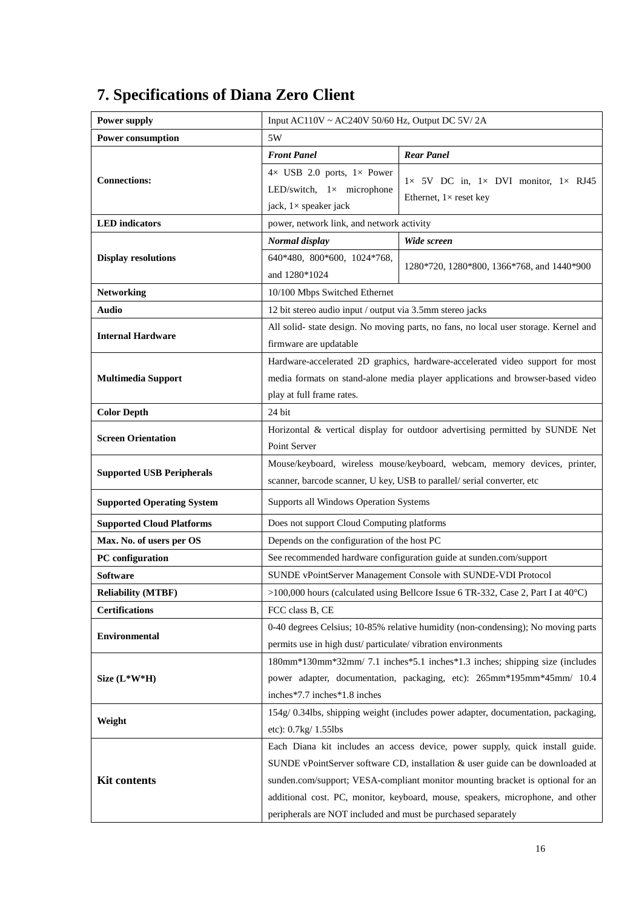#### **Power supply** Input AC110V ~ AC240V 50/60 Hz, Output DC 5V/ 2A **Power consumption** 5W *Front Panel Rear Panel* **Connections:**  $4 \times$  USB 2.0 ports,  $1 \times$  Power LED/switch,  $1 \times$  microphone jack, 1× speaker jack 1× 5V DC in, 1× DVI monitor, 1× RJ45 Ethernet,  $1 \times$  reset key **LED indicators power, network link, and network activity** *Normal display Wide screen* **Display resolutions** 640\*480, 800\*600, 1024\*768, and 1280\*1024 1280\*720, 1280\*800, 1366\*768, and 1440\*900 **Networking** 10/100 Mbps Switched Ethernet **Audio** 12 bit stereo audio input / output via 3.5mm stereo jacks **Internal Hardware** All solid- state design. No moving parts, no fans, no local user storage. Kernel and firmware are updatable **Multimedia Support** Hardware-accelerated 2D graphics, hardware-accelerated video support for most media formats on stand-alone media player applications and browser-based video play at full frame rates. **Color Depth** 24 bit **Screen Orientation** Horizontal & vertical display for outdoor advertising permitted by SUNDE Net Point Server **Supported USB Peripherals** Mouse/keyboard, wireless mouse/keyboard, webcam, memory devices, printer, scanner, barcode scanner, U key, USB to parallel/ serial converter, etc **Supported Operating System** Supports all Windows Operation Systems **Supported Cloud Platforms** <br>Does not support Cloud Computing platforms **Max. No. of users per OS** Depends on the configuration of the host PC **PC configuration** See recommended hardware configuration guide at sunden.com/support **Software** SUNDE vPointServer Management Console with SUNDE-VDI Protocol **Reliability (MTBF)** >100,000 hours (calculated using Bellcore Issue 6 TR-332, Case 2, Part I at 40°C) **Certifications** FCC class B, CE **Environmental** 0-40 degrees Celsius; 10-85% relative humidity (non-condensing); No moving parts permits use in high dust/ particulate/ vibration environments **Size (L\*W\*H)** 180mm\*130mm\*32mm/ 7.1 inches\*5.1 inches\*1.3 inches; shipping size (includes power adapter, documentation, packaging, etc): 265mm\*195mm\*45mm/ 10.4 inches\*7.7 inches\*1.8 inches **Weight** 154g/ 0.34lbs, shipping weight (includes power adapter, documentation, packaging, etc): 0.7kg/ 1.55lbs **Kit contents** Each Diana kit includes an access device, power supply, quick install guide. SUNDE vPointServer software CD, installation & user guide can be downloaded at sunden.com/support; VESA-compliant monitor mounting bracket is optional for an

# **7. Specifications of Diana Zero Client**

additional cost. PC, monitor, keyboard, mouse, speakers, microphone, and other

peripherals are NOT included and must be purchased separately